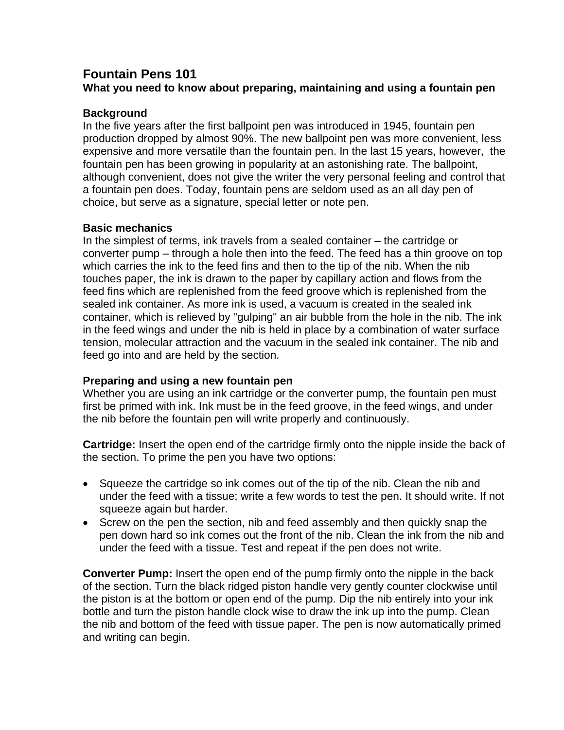# **Fountain Pens 101**

# **What you need to know about preparing, maintaining and using a fountain pen**

# **Background**

In the five years after the first ballpoint pen was introduced in 1945, fountain pen production dropped by almost 90%. The new ballpoint pen was more convenient, less expensive and more versatile than the fountain pen. In the last 15 years, however, the fountain pen has been growing in popularity at an astonishing rate. The ballpoint, although convenient, does not give the writer the very personal feeling and control that a fountain pen does. Today, fountain pens are seldom used as an all day pen of choice, but serve as a signature, special letter or note pen.

## **Basic mechanics**

In the simplest of terms, ink travels from a sealed container – the cartridge or converter pump – through a hole then into the feed. The feed has a thin groove on top which carries the ink to the feed fins and then to the tip of the nib. When the nib touches paper, the ink is drawn to the paper by capillary action and flows from the feed fins which are replenished from the feed groove which is replenished from the sealed ink container. As more ink is used, a vacuum is created in the sealed ink container, which is relieved by "gulping" an air bubble from the hole in the nib. The ink in the feed wings and under the nib is held in place by a combination of water surface tension, molecular attraction and the vacuum in the sealed ink container. The nib and feed go into and are held by the section.

### **Preparing and using a new fountain pen**

Whether you are using an ink cartridge or the converter pump, the fountain pen must first be primed with ink. Ink must be in the feed groove, in the feed wings, and under the nib before the fountain pen will write properly and continuously.

**Cartridge:** Insert the open end of the cartridge firmly onto the nipple inside the back of the section. To prime the pen you have two options:

- Squeeze the cartridge so ink comes out of the tip of the nib. Clean the nib and under the feed with a tissue; write a few words to test the pen. It should write. If not squeeze again but harder.
- Screw on the pen the section, nib and feed assembly and then quickly snap the pen down hard so ink comes out the front of the nib. Clean the ink from the nib and under the feed with a tissue. Test and repeat if the pen does not write.

**Converter Pump:** Insert the open end of the pump firmly onto the nipple in the back of the section. Turn the black ridged piston handle very gently counter clockwise until the piston is at the bottom or open end of the pump. Dip the nib entirely into your ink bottle and turn the piston handle clock wise to draw the ink up into the pump. Clean the nib and bottom of the feed with tissue paper. The pen is now automatically primed and writing can begin.